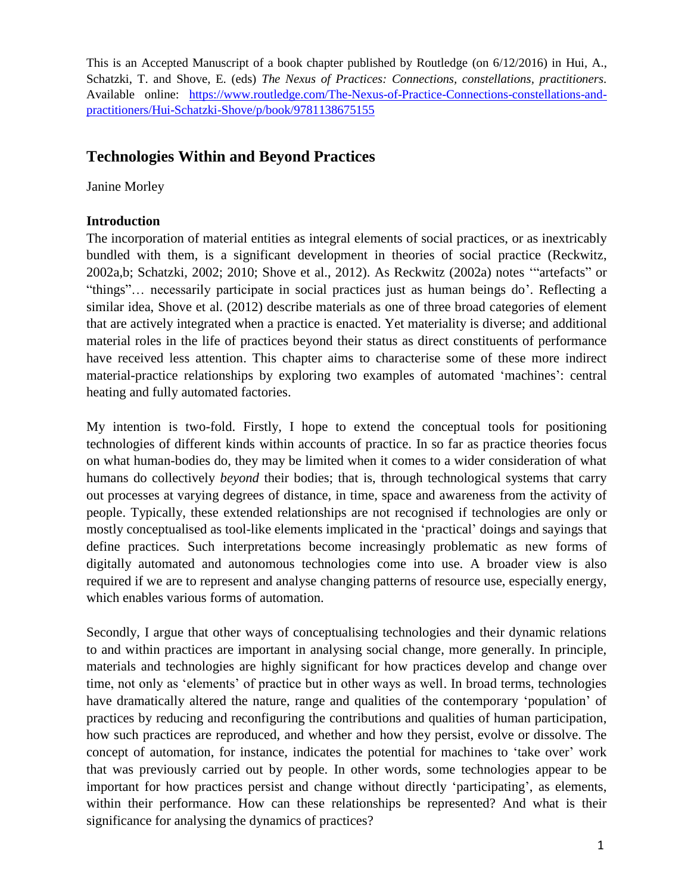This is an Accepted Manuscript of a book chapter published by Routledge (on 6/12/2016) in Hui, A., Schatzki, T. and Shove, E. (eds) *The Nexus of Practices: Connections, constellations, practitioners.*  Available online: [https://www.routledge.com/The-Nexus-of-Practice-Connections-constellations-and](https://www.routledge.com/The-Nexus-of-Practice-Connections-constellations-and-practitioners/Hui-Schatzki-Shove/p/book/9781138675155)[practitioners/Hui-Schatzki-Shove/p/book/9781138675155](https://www.routledge.com/The-Nexus-of-Practice-Connections-constellations-and-practitioners/Hui-Schatzki-Shove/p/book/9781138675155)

# **Technologies Within and Beyond Practices**

Janine Morley

## **Introduction**

The incorporation of material entities as integral elements of social practices, or as inextricably bundled with them, is a significant development in theories of social practice (Reckwitz, 2002a,b; Schatzki, 2002; 2010; Shove et al., 2012). As Reckwitz (2002a) notes '"artefacts" or "things"… necessarily participate in social practices just as human beings do'. Reflecting a similar idea, Shove et al. (2012) describe materials as one of three broad categories of element that are actively integrated when a practice is enacted. Yet materiality is diverse; and additional material roles in the life of practices beyond their status as direct constituents of performance have received less attention. This chapter aims to characterise some of these more indirect material-practice relationships by exploring two examples of automated 'machines': central heating and fully automated factories.

My intention is two-fold. Firstly, I hope to extend the conceptual tools for positioning technologies of different kinds within accounts of practice. In so far as practice theories focus on what human-bodies do, they may be limited when it comes to a wider consideration of what humans do collectively *beyond* their bodies; that is, through technological systems that carry out processes at varying degrees of distance, in time, space and awareness from the activity of people. Typically, these extended relationships are not recognised if technologies are only or mostly conceptualised as tool-like elements implicated in the 'practical' doings and sayings that define practices. Such interpretations become increasingly problematic as new forms of digitally automated and autonomous technologies come into use. A broader view is also required if we are to represent and analyse changing patterns of resource use, especially energy, which enables various forms of automation.

Secondly, I argue that other ways of conceptualising technologies and their dynamic relations to and within practices are important in analysing social change, more generally. In principle, materials and technologies are highly significant for how practices develop and change over time, not only as 'elements' of practice but in other ways as well. In broad terms, technologies have dramatically altered the nature, range and qualities of the contemporary 'population' of practices by reducing and reconfiguring the contributions and qualities of human participation, how such practices are reproduced, and whether and how they persist, evolve or dissolve. The concept of automation, for instance, indicates the potential for machines to 'take over' work that was previously carried out by people. In other words, some technologies appear to be important for how practices persist and change without directly 'participating', as elements, within their performance. How can these relationships be represented? And what is their significance for analysing the dynamics of practices?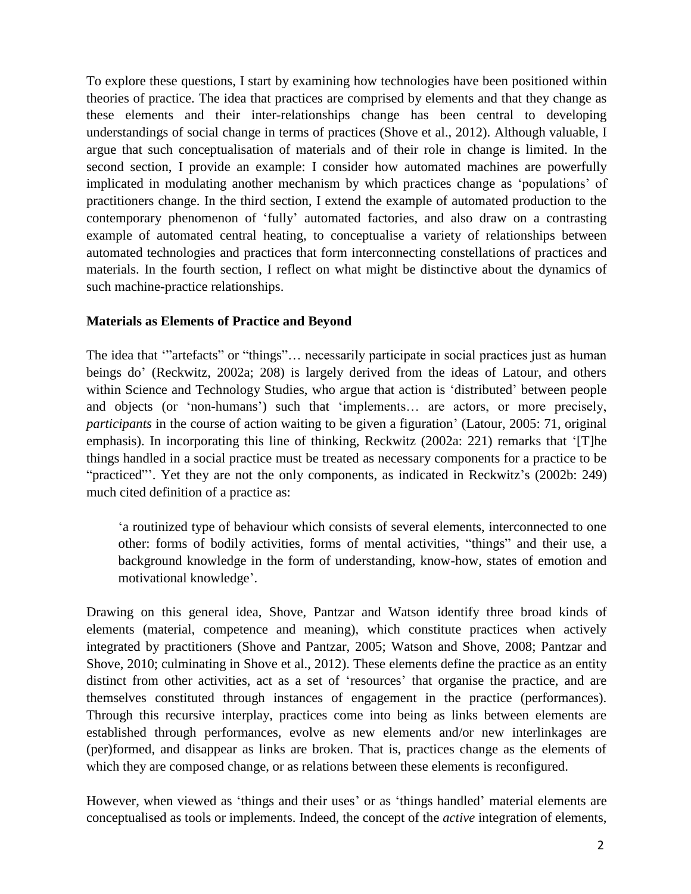To explore these questions, I start by examining how technologies have been positioned within theories of practice. The idea that practices are comprised by elements and that they change as these elements and their inter-relationships change has been central to developing understandings of social change in terms of practices (Shove et al., 2012). Although valuable, I argue that such conceptualisation of materials and of their role in change is limited. In the second section, I provide an example: I consider how automated machines are powerfully implicated in modulating another mechanism by which practices change as 'populations' of practitioners change. In the third section, I extend the example of automated production to the contemporary phenomenon of 'fully' automated factories, and also draw on a contrasting example of automated central heating, to conceptualise a variety of relationships between automated technologies and practices that form interconnecting constellations of practices and materials. In the fourth section, I reflect on what might be distinctive about the dynamics of such machine-practice relationships.

#### **Materials as Elements of Practice and Beyond**

The idea that '"artefacts" or "things"… necessarily participate in social practices just as human beings do' (Reckwitz, 2002a; 208) is largely derived from the ideas of Latour, and others within Science and Technology Studies, who argue that action is 'distributed' between people and objects (or 'non-humans') such that 'implements… are actors, or more precisely, *participants* in the course of action waiting to be given a figuration' (Latour, 2005: 71, original emphasis). In incorporating this line of thinking, Reckwitz (2002a: 221) remarks that '[T]he things handled in a social practice must be treated as necessary components for a practice to be "practiced"'. Yet they are not the only components, as indicated in Reckwitz's (2002b: 249) much cited definition of a practice as:

'a routinized type of behaviour which consists of several elements, interconnected to one other: forms of bodily activities, forms of mental activities, "things" and their use, a background knowledge in the form of understanding, know-how, states of emotion and motivational knowledge'.

Drawing on this general idea, Shove, Pantzar and Watson identify three broad kinds of elements (material, competence and meaning), which constitute practices when actively integrated by practitioners (Shove and Pantzar, 2005; Watson and Shove, 2008; Pantzar and Shove, 2010; culminating in Shove et al., 2012). These elements define the practice as an entity distinct from other activities, act as a set of 'resources' that organise the practice, and are themselves constituted through instances of engagement in the practice (performances). Through this recursive interplay, practices come into being as links between elements are established through performances, evolve as new elements and/or new interlinkages are (per)formed, and disappear as links are broken. That is, practices change as the elements of which they are composed change, or as relations between these elements is reconfigured.

However, when viewed as 'things and their uses' or as 'things handled' material elements are conceptualised as tools or implements. Indeed, the concept of the *active* integration of elements,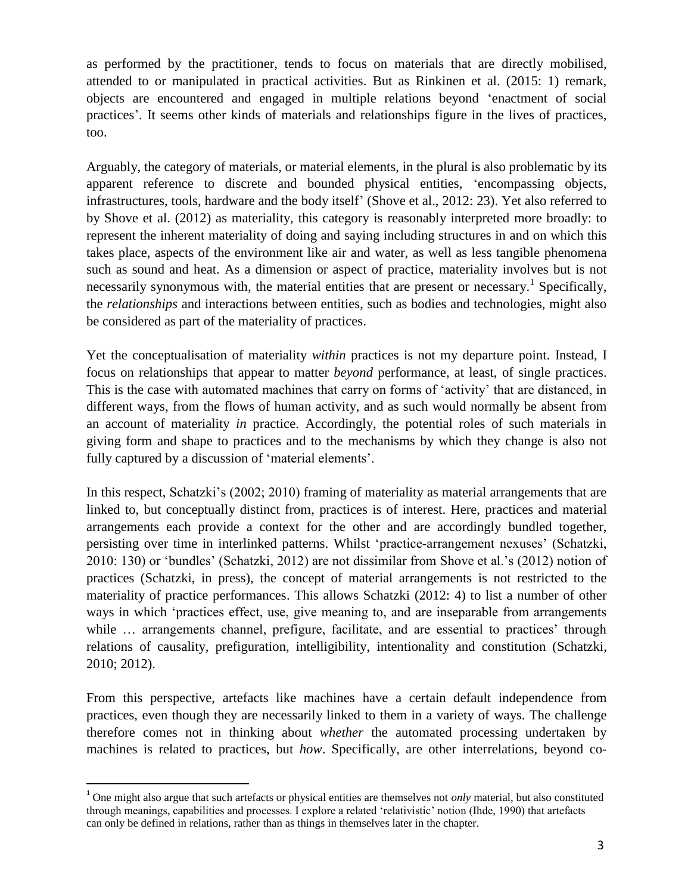as performed by the practitioner, tends to focus on materials that are directly mobilised, attended to or manipulated in practical activities. But as Rinkinen et al. (2015: 1) remark, objects are encountered and engaged in multiple relations beyond 'enactment of social practices'. It seems other kinds of materials and relationships figure in the lives of practices, too.

Arguably, the category of materials, or material elements, in the plural is also problematic by its apparent reference to discrete and bounded physical entities, 'encompassing objects, infrastructures, tools, hardware and the body itself' (Shove et al., 2012: 23). Yet also referred to by Shove et al. (2012) as materiality, this category is reasonably interpreted more broadly: to represent the inherent materiality of doing and saying including structures in and on which this takes place, aspects of the environment like air and water, as well as less tangible phenomena such as sound and heat. As a dimension or aspect of practice, materiality involves but is not necessarily synonymous with, the material entities that are present or necessary.<sup>1</sup> Specifically, the *relationships* and interactions between entities, such as bodies and technologies, might also be considered as part of the materiality of practices.

Yet the conceptualisation of materiality *within* practices is not my departure point. Instead, I focus on relationships that appear to matter *beyond* performance, at least, of single practices. This is the case with automated machines that carry on forms of 'activity' that are distanced, in different ways, from the flows of human activity, and as such would normally be absent from an account of materiality *in* practice. Accordingly, the potential roles of such materials in giving form and shape to practices and to the mechanisms by which they change is also not fully captured by a discussion of 'material elements'.

In this respect, Schatzki's (2002; 2010) framing of materiality as material arrangements that are linked to, but conceptually distinct from, practices is of interest. Here, practices and material arrangements each provide a context for the other and are accordingly bundled together, persisting over time in interlinked patterns. Whilst 'practice-arrangement nexuses' (Schatzki, 2010: 130) or 'bundles' (Schatzki, 2012) are not dissimilar from Shove et al.'s (2012) notion of practices (Schatzki, in press), the concept of material arrangements is not restricted to the materiality of practice performances. This allows Schatzki (2012: 4) to list a number of other ways in which 'practices effect, use, give meaning to, and are inseparable from arrangements while ... arrangements channel, prefigure, facilitate, and are essential to practices' through relations of causality, prefiguration, intelligibility, intentionality and constitution (Schatzki, 2010; 2012).

From this perspective, artefacts like machines have a certain default independence from practices, even though they are necessarily linked to them in a variety of ways. The challenge therefore comes not in thinking about *whether* the automated processing undertaken by machines is related to practices, but *how*. Specifically, are other interrelations, beyond co-

 $\overline{a}$ 

<sup>1</sup> One might also argue that such artefacts or physical entities are themselves not *only* material, but also constituted through meanings, capabilities and processes. I explore a related 'relativistic' notion (Ihde, 1990) that artefacts can only be defined in relations, rather than as things in themselves later in the chapter.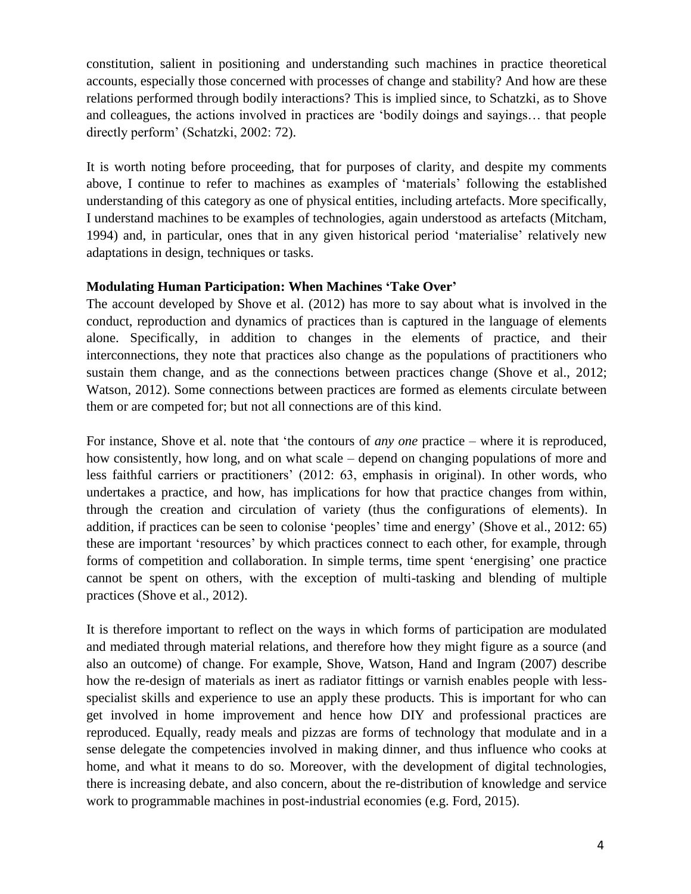constitution, salient in positioning and understanding such machines in practice theoretical accounts, especially those concerned with processes of change and stability? And how are these relations performed through bodily interactions? This is implied since, to Schatzki, as to Shove and colleagues, the actions involved in practices are 'bodily doings and sayings… that people directly perform' (Schatzki, 2002: 72).

It is worth noting before proceeding, that for purposes of clarity, and despite my comments above, I continue to refer to machines as examples of 'materials' following the established understanding of this category as one of physical entities, including artefacts. More specifically, I understand machines to be examples of technologies, again understood as artefacts (Mitcham, 1994) and, in particular, ones that in any given historical period 'materialise' relatively new adaptations in design, techniques or tasks.

#### **Modulating Human Participation: When Machines 'Take Over'**

The account developed by Shove et al. (2012) has more to say about what is involved in the conduct, reproduction and dynamics of practices than is captured in the language of elements alone. Specifically, in addition to changes in the elements of practice, and their interconnections, they note that practices also change as the populations of practitioners who sustain them change, and as the connections between practices change (Shove et al., 2012; Watson, 2012). Some connections between practices are formed as elements circulate between them or are competed for; but not all connections are of this kind.

For instance, Shove et al. note that 'the contours of *any one* practice – where it is reproduced, how consistently, how long, and on what scale – depend on changing populations of more and less faithful carriers or practitioners' (2012: 63, emphasis in original). In other words, who undertakes a practice, and how, has implications for how that practice changes from within, through the creation and circulation of variety (thus the configurations of elements). In addition, if practices can be seen to colonise 'peoples' time and energy' (Shove et al., 2012: 65) these are important 'resources' by which practices connect to each other, for example, through forms of competition and collaboration. In simple terms, time spent 'energising' one practice cannot be spent on others, with the exception of multi-tasking and blending of multiple practices (Shove et al., 2012).

It is therefore important to reflect on the ways in which forms of participation are modulated and mediated through material relations, and therefore how they might figure as a source (and also an outcome) of change. For example, Shove, Watson, Hand and Ingram (2007) describe how the re-design of materials as inert as radiator fittings or varnish enables people with lessspecialist skills and experience to use an apply these products. This is important for who can get involved in home improvement and hence how DIY and professional practices are reproduced. Equally, ready meals and pizzas are forms of technology that modulate and in a sense delegate the competencies involved in making dinner, and thus influence who cooks at home, and what it means to do so. Moreover, with the development of digital technologies, there is increasing debate, and also concern, about the re-distribution of knowledge and service work to programmable machines in post-industrial economies (e.g. Ford, 2015).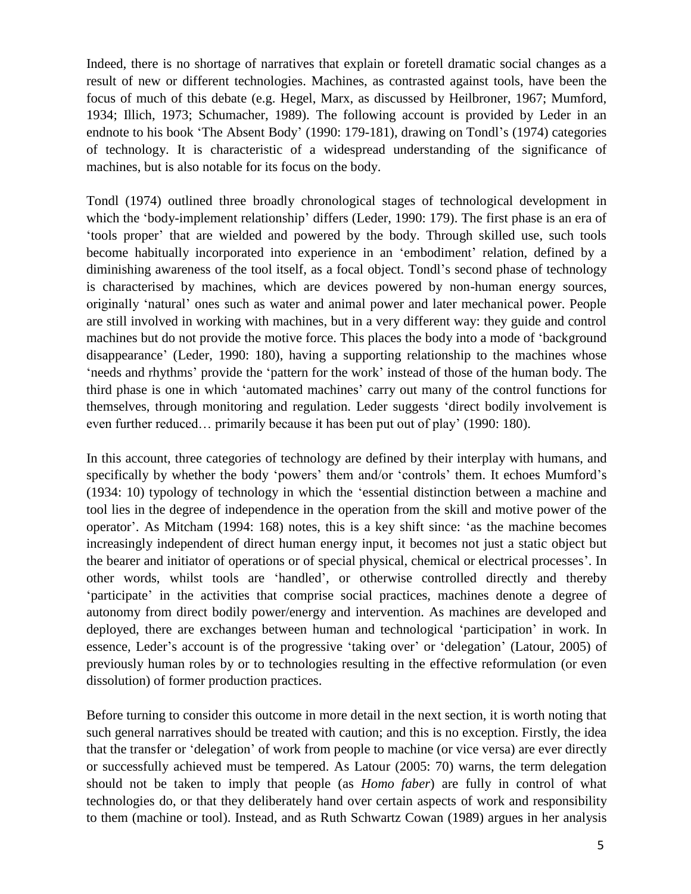Indeed, there is no shortage of narratives that explain or foretell dramatic social changes as a result of new or different technologies. Machines, as contrasted against tools, have been the focus of much of this debate (e.g. Hegel, Marx, as discussed by Heilbroner, 1967; Mumford, 1934; Illich, 1973; Schumacher, 1989). The following account is provided by Leder in an endnote to his book 'The Absent Body' (1990: 179-181), drawing on Tondl's (1974) categories of technology. It is characteristic of a widespread understanding of the significance of machines, but is also notable for its focus on the body.

Tondl (1974) outlined three broadly chronological stages of technological development in which the 'body-implement relationship' differs (Leder, 1990: 179). The first phase is an era of 'tools proper' that are wielded and powered by the body. Through skilled use, such tools become habitually incorporated into experience in an 'embodiment' relation, defined by a diminishing awareness of the tool itself, as a focal object. Tondl's second phase of technology is characterised by machines, which are devices powered by non-human energy sources, originally 'natural' ones such as water and animal power and later mechanical power. People are still involved in working with machines, but in a very different way: they guide and control machines but do not provide the motive force. This places the body into a mode of 'background disappearance' (Leder, 1990: 180), having a supporting relationship to the machines whose 'needs and rhythms' provide the 'pattern for the work' instead of those of the human body. The third phase is one in which 'automated machines' carry out many of the control functions for themselves, through monitoring and regulation. Leder suggests 'direct bodily involvement is even further reduced… primarily because it has been put out of play' (1990: 180).

In this account, three categories of technology are defined by their interplay with humans, and specifically by whether the body 'powers' them and/or 'controls' them. It echoes Mumford's (1934: 10) typology of technology in which the 'essential distinction between a machine and tool lies in the degree of independence in the operation from the skill and motive power of the operator'. As Mitcham (1994: 168) notes, this is a key shift since: 'as the machine becomes increasingly independent of direct human energy input, it becomes not just a static object but the bearer and initiator of operations or of special physical, chemical or electrical processes'. In other words, whilst tools are 'handled', or otherwise controlled directly and thereby 'participate' in the activities that comprise social practices, machines denote a degree of autonomy from direct bodily power/energy and intervention. As machines are developed and deployed, there are exchanges between human and technological 'participation' in work. In essence, Leder's account is of the progressive 'taking over' or 'delegation' (Latour, 2005) of previously human roles by or to technologies resulting in the effective reformulation (or even dissolution) of former production practices.

Before turning to consider this outcome in more detail in the next section, it is worth noting that such general narratives should be treated with caution; and this is no exception. Firstly, the idea that the transfer or 'delegation' of work from people to machine (or vice versa) are ever directly or successfully achieved must be tempered. As Latour (2005: 70) warns, the term delegation should not be taken to imply that people (as *Homo faber*) are fully in control of what technologies do, or that they deliberately hand over certain aspects of work and responsibility to them (machine or tool). Instead, and as Ruth Schwartz Cowan (1989) argues in her analysis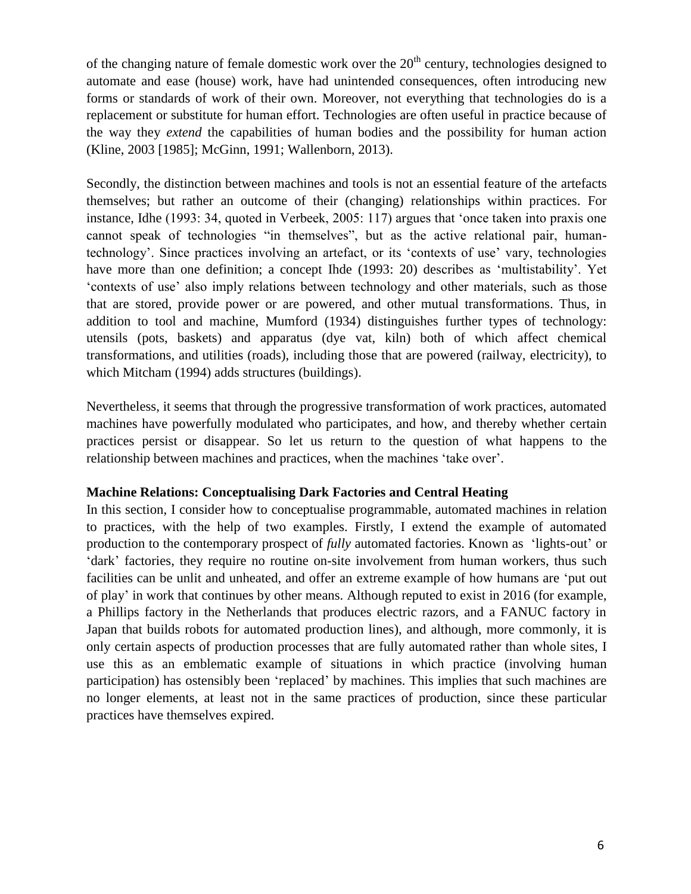of the changing nature of female domestic work over the  $20<sup>th</sup>$  century, technologies designed to automate and ease (house) work, have had unintended consequences, often introducing new forms or standards of work of their own. Moreover, not everything that technologies do is a replacement or substitute for human effort. Technologies are often useful in practice because of the way they *extend* the capabilities of human bodies and the possibility for human action (Kline, 2003 [1985]; McGinn, 1991; Wallenborn, 2013).

Secondly, the distinction between machines and tools is not an essential feature of the artefacts themselves; but rather an outcome of their (changing) relationships within practices. For instance, Idhe (1993: 34, quoted in Verbeek, 2005: 117) argues that 'once taken into praxis one cannot speak of technologies "in themselves", but as the active relational pair, humantechnology'. Since practices involving an artefact, or its 'contexts of use' vary, technologies have more than one definition; a concept Ihde (1993: 20) describes as 'multistability'. Yet 'contexts of use' also imply relations between technology and other materials, such as those that are stored, provide power or are powered, and other mutual transformations. Thus, in addition to tool and machine, Mumford (1934) distinguishes further types of technology: utensils (pots, baskets) and apparatus (dye vat, kiln) both of which affect chemical transformations, and utilities (roads), including those that are powered (railway, electricity), to which Mitcham (1994) adds structures (buildings).

Nevertheless, it seems that through the progressive transformation of work practices, automated machines have powerfully modulated who participates, and how, and thereby whether certain practices persist or disappear. So let us return to the question of what happens to the relationship between machines and practices, when the machines 'take over'.

#### **Machine Relations: Conceptualising Dark Factories and Central Heating**

In this section, I consider how to conceptualise programmable, automated machines in relation to practices, with the help of two examples. Firstly, I extend the example of automated production to the contemporary prospect of *fully* automated factories. Known as 'lights-out' or 'dark' factories, they require no routine on-site involvement from human workers, thus such facilities can be unlit and unheated, and offer an extreme example of how humans are 'put out of play' in work that continues by other means. Although reputed to exist in 2016 (for example, a Phillips factory in the Netherlands that produces electric razors, and a FANUC factory in Japan that builds robots for automated production lines), and although, more commonly, it is only certain aspects of production processes that are fully automated rather than whole sites, I use this as an emblematic example of situations in which practice (involving human participation) has ostensibly been 'replaced' by machines. This implies that such machines are no longer elements, at least not in the same practices of production, since these particular practices have themselves expired.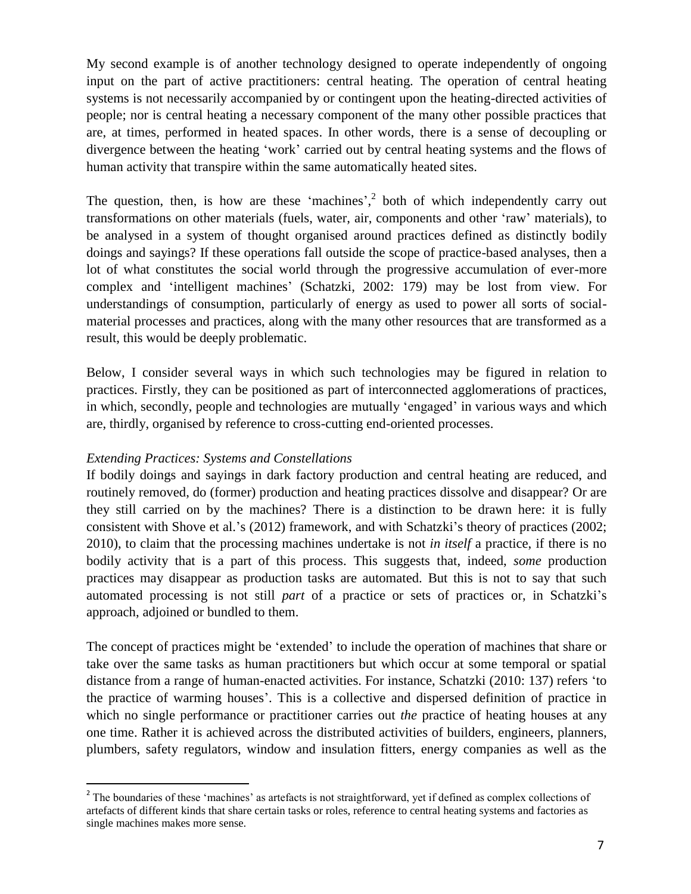My second example is of another technology designed to operate independently of ongoing input on the part of active practitioners: central heating. The operation of central heating systems is not necessarily accompanied by or contingent upon the heating-directed activities of people; nor is central heating a necessary component of the many other possible practices that are, at times, performed in heated spaces. In other words, there is a sense of decoupling or divergence between the heating 'work' carried out by central heating systems and the flows of human activity that transpire within the same automatically heated sites.

The question, then, is how are these 'machines', both of which independently carry out transformations on other materials (fuels, water, air, components and other 'raw' materials), to be analysed in a system of thought organised around practices defined as distinctly bodily doings and sayings? If these operations fall outside the scope of practice-based analyses, then a lot of what constitutes the social world through the progressive accumulation of ever-more complex and 'intelligent machines' (Schatzki, 2002: 179) may be lost from view. For understandings of consumption, particularly of energy as used to power all sorts of socialmaterial processes and practices, along with the many other resources that are transformed as a result, this would be deeply problematic.

Below, I consider several ways in which such technologies may be figured in relation to practices. Firstly, they can be positioned as part of interconnected agglomerations of practices, in which, secondly, people and technologies are mutually 'engaged' in various ways and which are, thirdly, organised by reference to cross-cutting end-oriented processes.

## *Extending Practices: Systems and Constellations*

 $\overline{a}$ 

If bodily doings and sayings in dark factory production and central heating are reduced, and routinely removed, do (former) production and heating practices dissolve and disappear? Or are they still carried on by the machines? There is a distinction to be drawn here: it is fully consistent with Shove et al.'s (2012) framework, and with Schatzki's theory of practices (2002; 2010), to claim that the processing machines undertake is not *in itself* a practice, if there is no bodily activity that is a part of this process. This suggests that, indeed, *some* production practices may disappear as production tasks are automated. But this is not to say that such automated processing is not still *part* of a practice or sets of practices or, in Schatzki's approach, adjoined or bundled to them.

The concept of practices might be 'extended' to include the operation of machines that share or take over the same tasks as human practitioners but which occur at some temporal or spatial distance from a range of human-enacted activities. For instance, Schatzki (2010: 137) refers 'to the practice of warming houses'. This is a collective and dispersed definition of practice in which no single performance or practitioner carries out *the* practice of heating houses at any one time. Rather it is achieved across the distributed activities of builders, engineers, planners, plumbers, safety regulators, window and insulation fitters, energy companies as well as the

<sup>&</sup>lt;sup>2</sup> The boundaries of these 'machines' as artefacts is not straightforward, yet if defined as complex collections of artefacts of different kinds that share certain tasks or roles, reference to central heating systems and factories as single machines makes more sense.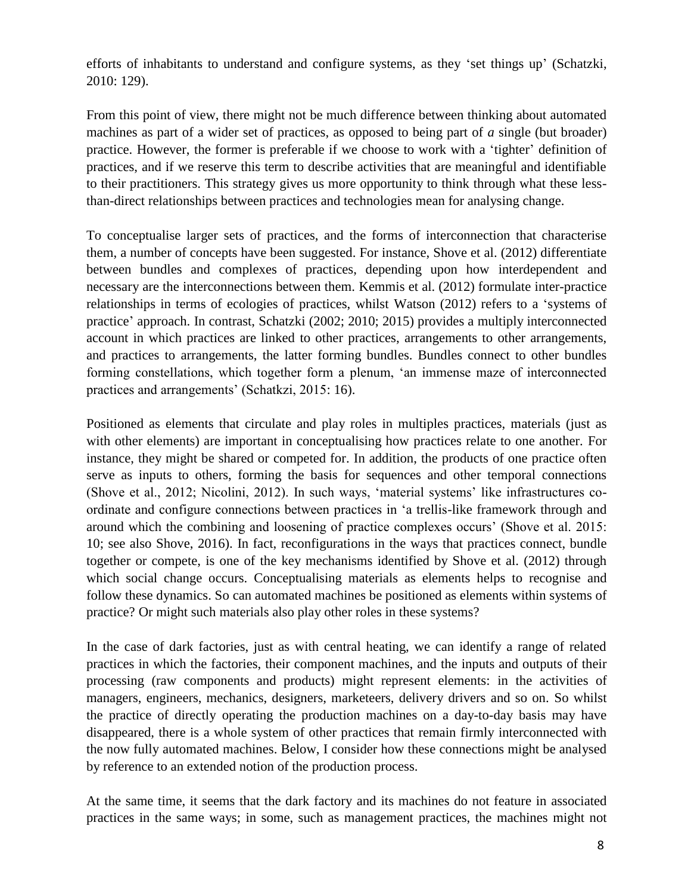efforts of inhabitants to understand and configure systems, as they 'set things up' (Schatzki, 2010: 129).

From this point of view, there might not be much difference between thinking about automated machines as part of a wider set of practices, as opposed to being part of *a* single (but broader) practice. However, the former is preferable if we choose to work with a 'tighter' definition of practices, and if we reserve this term to describe activities that are meaningful and identifiable to their practitioners. This strategy gives us more opportunity to think through what these lessthan-direct relationships between practices and technologies mean for analysing change.

To conceptualise larger sets of practices, and the forms of interconnection that characterise them, a number of concepts have been suggested. For instance, Shove et al. (2012) differentiate between bundles and complexes of practices, depending upon how interdependent and necessary are the interconnections between them. Kemmis et al. (2012) formulate inter-practice relationships in terms of ecologies of practices, whilst Watson (2012) refers to a 'systems of practice' approach. In contrast, Schatzki (2002; 2010; 2015) provides a multiply interconnected account in which practices are linked to other practices, arrangements to other arrangements, and practices to arrangements, the latter forming bundles. Bundles connect to other bundles forming constellations, which together form a plenum, 'an immense maze of interconnected practices and arrangements' (Schatkzi, 2015: 16).

Positioned as elements that circulate and play roles in multiples practices, materials (just as with other elements) are important in conceptualising how practices relate to one another. For instance, they might be shared or competed for. In addition, the products of one practice often serve as inputs to others, forming the basis for sequences and other temporal connections (Shove et al., 2012; Nicolini, 2012). In such ways, 'material systems' like infrastructures coordinate and configure connections between practices in 'a trellis-like framework through and around which the combining and loosening of practice complexes occurs' (Shove et al. 2015: 10; see also Shove, 2016). In fact, reconfigurations in the ways that practices connect, bundle together or compete, is one of the key mechanisms identified by Shove et al. (2012) through which social change occurs. Conceptualising materials as elements helps to recognise and follow these dynamics. So can automated machines be positioned as elements within systems of practice? Or might such materials also play other roles in these systems?

In the case of dark factories, just as with central heating, we can identify a range of related practices in which the factories, their component machines, and the inputs and outputs of their processing (raw components and products) might represent elements: in the activities of managers, engineers, mechanics, designers, marketeers, delivery drivers and so on. So whilst the practice of directly operating the production machines on a day-to-day basis may have disappeared, there is a whole system of other practices that remain firmly interconnected with the now fully automated machines. Below, I consider how these connections might be analysed by reference to an extended notion of the production process.

At the same time, it seems that the dark factory and its machines do not feature in associated practices in the same ways; in some, such as management practices, the machines might not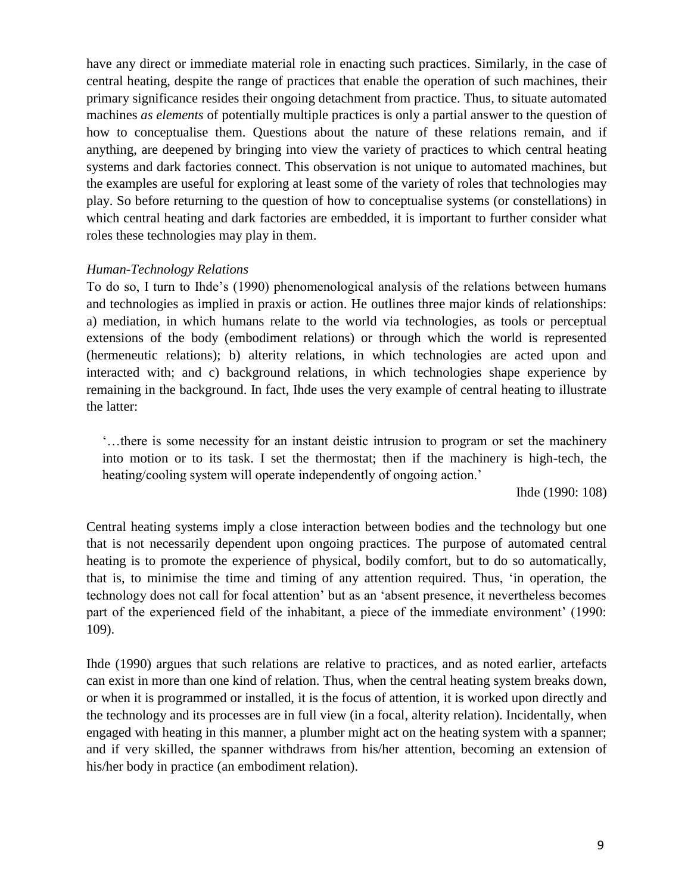have any direct or immediate material role in enacting such practices. Similarly, in the case of central heating, despite the range of practices that enable the operation of such machines, their primary significance resides their ongoing detachment from practice. Thus, to situate automated machines *as elements* of potentially multiple practices is only a partial answer to the question of how to conceptualise them. Questions about the nature of these relations remain, and if anything, are deepened by bringing into view the variety of practices to which central heating systems and dark factories connect. This observation is not unique to automated machines, but the examples are useful for exploring at least some of the variety of roles that technologies may play. So before returning to the question of how to conceptualise systems (or constellations) in which central heating and dark factories are embedded, it is important to further consider what roles these technologies may play in them.

#### *Human-Technology Relations*

To do so, I turn to Ihde's (1990) phenomenological analysis of the relations between humans and technologies as implied in praxis or action. He outlines three major kinds of relationships: a) mediation, in which humans relate to the world via technologies, as tools or perceptual extensions of the body (embodiment relations) or through which the world is represented (hermeneutic relations); b) alterity relations, in which technologies are acted upon and interacted with; and c) background relations, in which technologies shape experience by remaining in the background. In fact, Ihde uses the very example of central heating to illustrate the latter:

'…there is some necessity for an instant deistic intrusion to program or set the machinery into motion or to its task. I set the thermostat; then if the machinery is high-tech, the heating/cooling system will operate independently of ongoing action.'

Ihde (1990: 108)

Central heating systems imply a close interaction between bodies and the technology but one that is not necessarily dependent upon ongoing practices. The purpose of automated central heating is to promote the experience of physical, bodily comfort, but to do so automatically, that is, to minimise the time and timing of any attention required. Thus, 'in operation, the technology does not call for focal attention' but as an 'absent presence, it nevertheless becomes part of the experienced field of the inhabitant, a piece of the immediate environment' (1990: 109).

Ihde (1990) argues that such relations are relative to practices, and as noted earlier, artefacts can exist in more than one kind of relation. Thus, when the central heating system breaks down, or when it is programmed or installed, it is the focus of attention, it is worked upon directly and the technology and its processes are in full view (in a focal, alterity relation). Incidentally, when engaged with heating in this manner, a plumber might act on the heating system with a spanner; and if very skilled, the spanner withdraws from his/her attention, becoming an extension of his/her body in practice (an embodiment relation).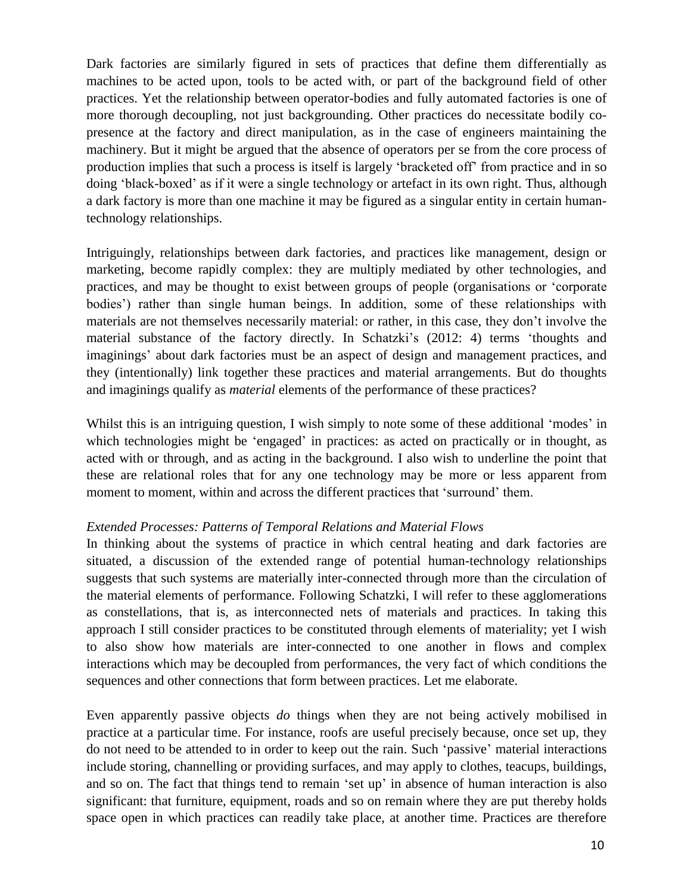Dark factories are similarly figured in sets of practices that define them differentially as machines to be acted upon, tools to be acted with, or part of the background field of other practices. Yet the relationship between operator-bodies and fully automated factories is one of more thorough decoupling, not just backgrounding. Other practices do necessitate bodily copresence at the factory and direct manipulation, as in the case of engineers maintaining the machinery. But it might be argued that the absence of operators per se from the core process of production implies that such a process is itself is largely 'bracketed off' from practice and in so doing 'black-boxed' as if it were a single technology or artefact in its own right. Thus, although a dark factory is more than one machine it may be figured as a singular entity in certain humantechnology relationships.

Intriguingly, relationships between dark factories, and practices like management, design or marketing, become rapidly complex: they are multiply mediated by other technologies, and practices, and may be thought to exist between groups of people (organisations or 'corporate bodies') rather than single human beings. In addition, some of these relationships with materials are not themselves necessarily material: or rather, in this case, they don't involve the material substance of the factory directly. In Schatzki's (2012: 4) terms 'thoughts and imaginings' about dark factories must be an aspect of design and management practices, and they (intentionally) link together these practices and material arrangements. But do thoughts and imaginings qualify as *material* elements of the performance of these practices?

Whilst this is an intriguing question, I wish simply to note some of these additional 'modes' in which technologies might be 'engaged' in practices: as acted on practically or in thought, as acted with or through, and as acting in the background. I also wish to underline the point that these are relational roles that for any one technology may be more or less apparent from moment to moment, within and across the different practices that 'surround' them.

## *Extended Processes: Patterns of Temporal Relations and Material Flows*

In thinking about the systems of practice in which central heating and dark factories are situated, a discussion of the extended range of potential human-technology relationships suggests that such systems are materially inter-connected through more than the circulation of the material elements of performance. Following Schatzki, I will refer to these agglomerations as constellations, that is, as interconnected nets of materials and practices. In taking this approach I still consider practices to be constituted through elements of materiality; yet I wish to also show how materials are inter-connected to one another in flows and complex interactions which may be decoupled from performances, the very fact of which conditions the sequences and other connections that form between practices. Let me elaborate.

Even apparently passive objects *do* things when they are not being actively mobilised in practice at a particular time. For instance, roofs are useful precisely because, once set up, they do not need to be attended to in order to keep out the rain. Such 'passive' material interactions include storing, channelling or providing surfaces, and may apply to clothes, teacups, buildings, and so on. The fact that things tend to remain 'set up' in absence of human interaction is also significant: that furniture, equipment, roads and so on remain where they are put thereby holds space open in which practices can readily take place, at another time. Practices are therefore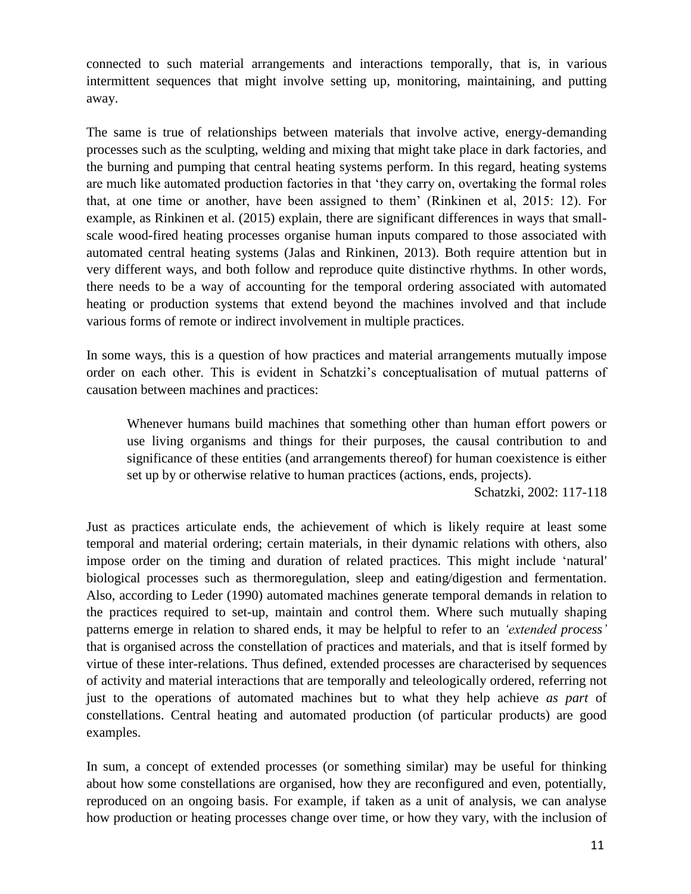connected to such material arrangements and interactions temporally, that is, in various intermittent sequences that might involve setting up, monitoring, maintaining, and putting away.

The same is true of relationships between materials that involve active, energy-demanding processes such as the sculpting, welding and mixing that might take place in dark factories, and the burning and pumping that central heating systems perform. In this regard, heating systems are much like automated production factories in that 'they carry on, overtaking the formal roles that, at one time or another, have been assigned to them' (Rinkinen et al, 2015: 12). For example, as Rinkinen et al. (2015) explain, there are significant differences in ways that smallscale wood-fired heating processes organise human inputs compared to those associated with automated central heating systems (Jalas and Rinkinen, 2013). Both require attention but in very different ways, and both follow and reproduce quite distinctive rhythms. In other words, there needs to be a way of accounting for the temporal ordering associated with automated heating or production systems that extend beyond the machines involved and that include various forms of remote or indirect involvement in multiple practices.

In some ways, this is a question of how practices and material arrangements mutually impose order on each other. This is evident in Schatzki's conceptualisation of mutual patterns of causation between machines and practices:

Whenever humans build machines that something other than human effort powers or use living organisms and things for their purposes, the causal contribution to and significance of these entities (and arrangements thereof) for human coexistence is either set up by or otherwise relative to human practices (actions, ends, projects).

Schatzki, 2002: 117-118

Just as practices articulate ends, the achievement of which is likely require at least some temporal and material ordering; certain materials, in their dynamic relations with others, also impose order on the timing and duration of related practices. This might include 'natural' biological processes such as thermoregulation, sleep and eating/digestion and fermentation. Also, according to Leder (1990) automated machines generate temporal demands in relation to the practices required to set-up, maintain and control them. Where such mutually shaping patterns emerge in relation to shared ends, it may be helpful to refer to an *'extended process'* that is organised across the constellation of practices and materials, and that is itself formed by virtue of these inter-relations. Thus defined, extended processes are characterised by sequences of activity and material interactions that are temporally and teleologically ordered, referring not just to the operations of automated machines but to what they help achieve *as part* of constellations. Central heating and automated production (of particular products) are good examples.

In sum, a concept of extended processes (or something similar) may be useful for thinking about how some constellations are organised, how they are reconfigured and even, potentially, reproduced on an ongoing basis. For example, if taken as a unit of analysis, we can analyse how production or heating processes change over time, or how they vary, with the inclusion of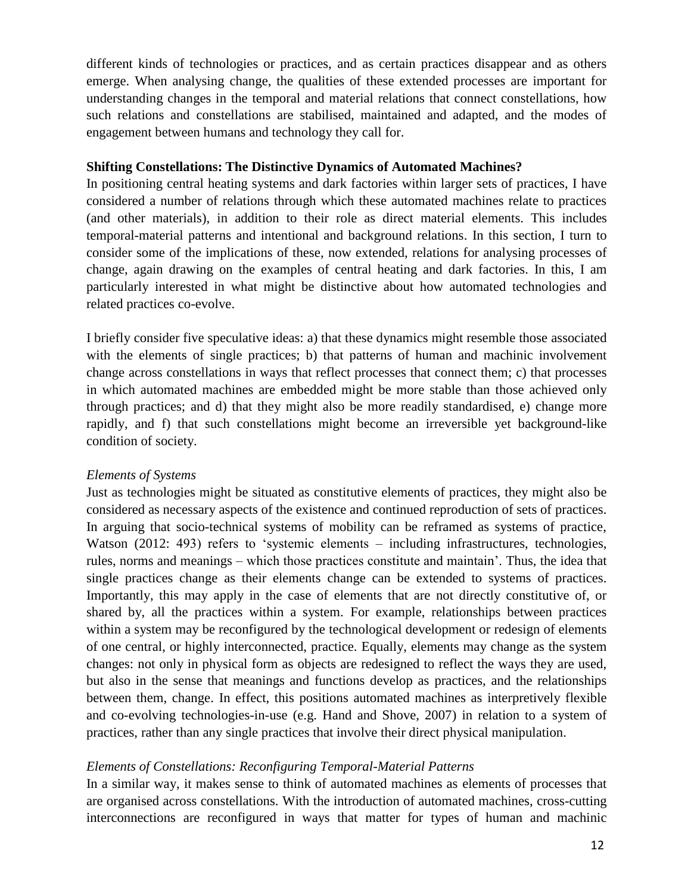different kinds of technologies or practices, and as certain practices disappear and as others emerge. When analysing change, the qualities of these extended processes are important for understanding changes in the temporal and material relations that connect constellations, how such relations and constellations are stabilised, maintained and adapted, and the modes of engagement between humans and technology they call for.

#### **Shifting Constellations: The Distinctive Dynamics of Automated Machines?**

In positioning central heating systems and dark factories within larger sets of practices, I have considered a number of relations through which these automated machines relate to practices (and other materials), in addition to their role as direct material elements. This includes temporal-material patterns and intentional and background relations. In this section, I turn to consider some of the implications of these, now extended, relations for analysing processes of change, again drawing on the examples of central heating and dark factories. In this, I am particularly interested in what might be distinctive about how automated technologies and related practices co-evolve.

I briefly consider five speculative ideas: a) that these dynamics might resemble those associated with the elements of single practices; b) that patterns of human and machinic involvement change across constellations in ways that reflect processes that connect them; c) that processes in which automated machines are embedded might be more stable than those achieved only through practices; and d) that they might also be more readily standardised, e) change more rapidly, and f) that such constellations might become an irreversible yet background-like condition of society.

## *Elements of Systems*

Just as technologies might be situated as constitutive elements of practices, they might also be considered as necessary aspects of the existence and continued reproduction of sets of practices. In arguing that socio-technical systems of mobility can be reframed as systems of practice, Watson (2012: 493) refers to 'systemic elements – including infrastructures, technologies, rules, norms and meanings – which those practices constitute and maintain'. Thus, the idea that single practices change as their elements change can be extended to systems of practices. Importantly, this may apply in the case of elements that are not directly constitutive of, or shared by, all the practices within a system. For example, relationships between practices within a system may be reconfigured by the technological development or redesign of elements of one central, or highly interconnected, practice. Equally, elements may change as the system changes: not only in physical form as objects are redesigned to reflect the ways they are used, but also in the sense that meanings and functions develop as practices, and the relationships between them, change. In effect, this positions automated machines as interpretively flexible and co-evolving technologies-in-use (e.g. Hand and Shove, 2007) in relation to a system of practices, rather than any single practices that involve their direct physical manipulation.

## *Elements of Constellations: Reconfiguring Temporal-Material Patterns*

In a similar way, it makes sense to think of automated machines as elements of processes that are organised across constellations. With the introduction of automated machines, cross-cutting interconnections are reconfigured in ways that matter for types of human and machinic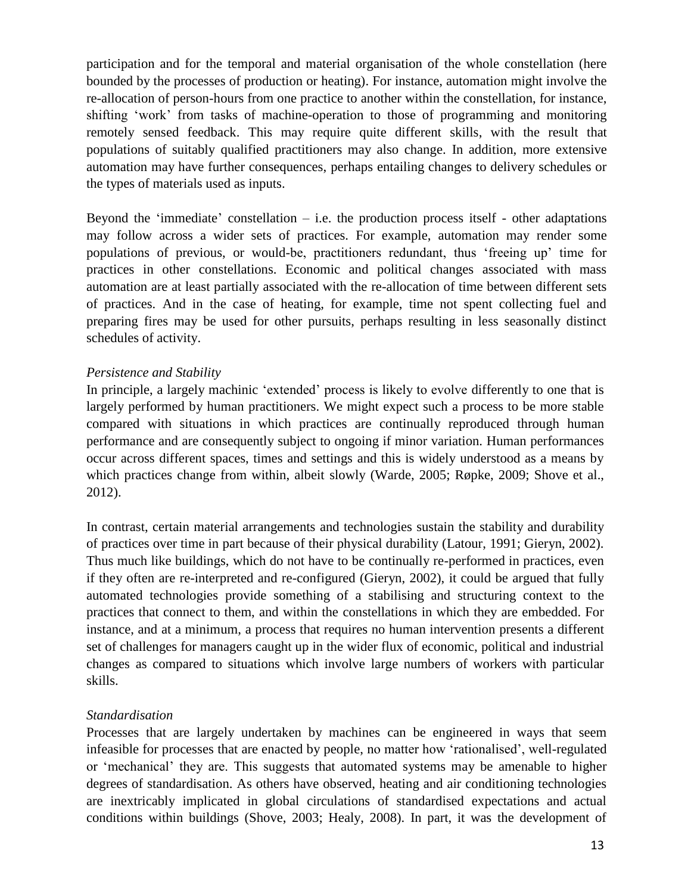participation and for the temporal and material organisation of the whole constellation (here bounded by the processes of production or heating). For instance, automation might involve the re-allocation of person-hours from one practice to another within the constellation, for instance, shifting 'work' from tasks of machine-operation to those of programming and monitoring remotely sensed feedback. This may require quite different skills, with the result that populations of suitably qualified practitioners may also change. In addition, more extensive automation may have further consequences, perhaps entailing changes to delivery schedules or the types of materials used as inputs.

Beyond the 'immediate' constellation  $-$  i.e. the production process itself - other adaptations may follow across a wider sets of practices. For example, automation may render some populations of previous, or would-be, practitioners redundant, thus 'freeing up' time for practices in other constellations. Economic and political changes associated with mass automation are at least partially associated with the re-allocation of time between different sets of practices. And in the case of heating, for example, time not spent collecting fuel and preparing fires may be used for other pursuits, perhaps resulting in less seasonally distinct schedules of activity.

## *Persistence and Stability*

In principle, a largely machinic 'extended' process is likely to evolve differently to one that is largely performed by human practitioners. We might expect such a process to be more stable compared with situations in which practices are continually reproduced through human performance and are consequently subject to ongoing if minor variation. Human performances occur across different spaces, times and settings and this is widely understood as a means by which practices change from within, albeit slowly (Warde, 2005; Røpke, 2009; Shove et al., 2012).

In contrast, certain material arrangements and technologies sustain the stability and durability of practices over time in part because of their physical durability (Latour, 1991; Gieryn, 2002). Thus much like buildings, which do not have to be continually re-performed in practices, even if they often are re-interpreted and re-configured (Gieryn, 2002), it could be argued that fully automated technologies provide something of a stabilising and structuring context to the practices that connect to them, and within the constellations in which they are embedded. For instance, and at a minimum, a process that requires no human intervention presents a different set of challenges for managers caught up in the wider flux of economic, political and industrial changes as compared to situations which involve large numbers of workers with particular skills.

## *Standardisation*

Processes that are largely undertaken by machines can be engineered in ways that seem infeasible for processes that are enacted by people, no matter how 'rationalised', well-regulated or 'mechanical' they are. This suggests that automated systems may be amenable to higher degrees of standardisation. As others have observed, heating and air conditioning technologies are inextricably implicated in global circulations of standardised expectations and actual conditions within buildings (Shove, 2003; Healy, 2008). In part, it was the development of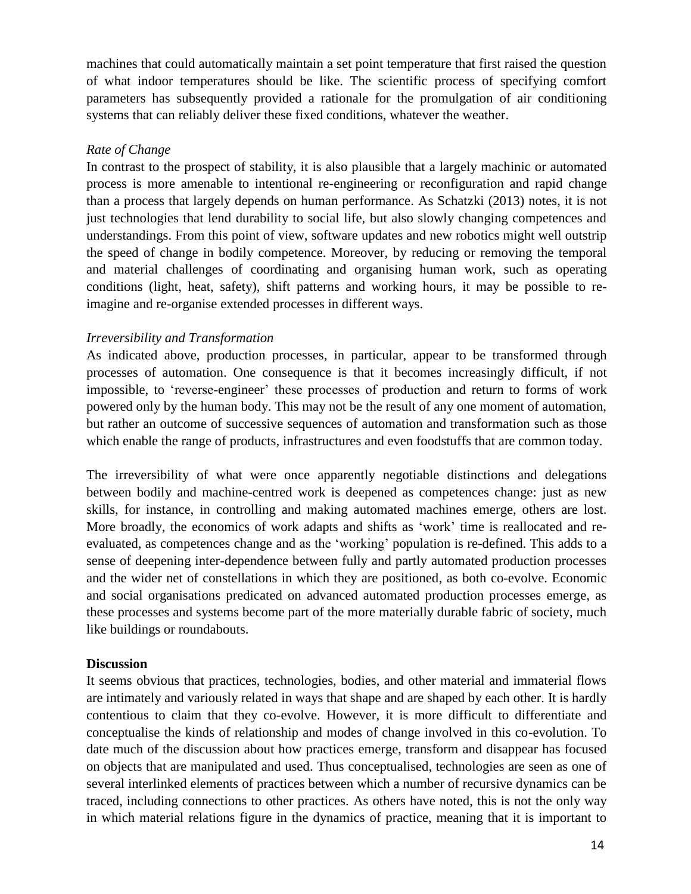machines that could automatically maintain a set point temperature that first raised the question of what indoor temperatures should be like. The scientific process of specifying comfort parameters has subsequently provided a rationale for the promulgation of air conditioning systems that can reliably deliver these fixed conditions, whatever the weather.

## *Rate of Change*

In contrast to the prospect of stability, it is also plausible that a largely machinic or automated process is more amenable to intentional re-engineering or reconfiguration and rapid change than a process that largely depends on human performance. As Schatzki (2013) notes, it is not just technologies that lend durability to social life, but also slowly changing competences and understandings. From this point of view, software updates and new robotics might well outstrip the speed of change in bodily competence. Moreover, by reducing or removing the temporal and material challenges of coordinating and organising human work, such as operating conditions (light, heat, safety), shift patterns and working hours, it may be possible to reimagine and re-organise extended processes in different ways.

## *Irreversibility and Transformation*

As indicated above, production processes, in particular, appear to be transformed through processes of automation. One consequence is that it becomes increasingly difficult, if not impossible, to 'reverse-engineer' these processes of production and return to forms of work powered only by the human body. This may not be the result of any one moment of automation, but rather an outcome of successive sequences of automation and transformation such as those which enable the range of products, infrastructures and even foodstuffs that are common today.

The irreversibility of what were once apparently negotiable distinctions and delegations between bodily and machine-centred work is deepened as competences change: just as new skills, for instance, in controlling and making automated machines emerge, others are lost. More broadly, the economics of work adapts and shifts as 'work' time is reallocated and reevaluated, as competences change and as the 'working' population is re-defined. This adds to a sense of deepening inter-dependence between fully and partly automated production processes and the wider net of constellations in which they are positioned, as both co-evolve. Economic and social organisations predicated on advanced automated production processes emerge, as these processes and systems become part of the more materially durable fabric of society, much like buildings or roundabouts.

## **Discussion**

It seems obvious that practices, technologies, bodies, and other material and immaterial flows are intimately and variously related in ways that shape and are shaped by each other. It is hardly contentious to claim that they co-evolve. However, it is more difficult to differentiate and conceptualise the kinds of relationship and modes of change involved in this co-evolution. To date much of the discussion about how practices emerge, transform and disappear has focused on objects that are manipulated and used. Thus conceptualised, technologies are seen as one of several interlinked elements of practices between which a number of recursive dynamics can be traced, including connections to other practices. As others have noted, this is not the only way in which material relations figure in the dynamics of practice, meaning that it is important to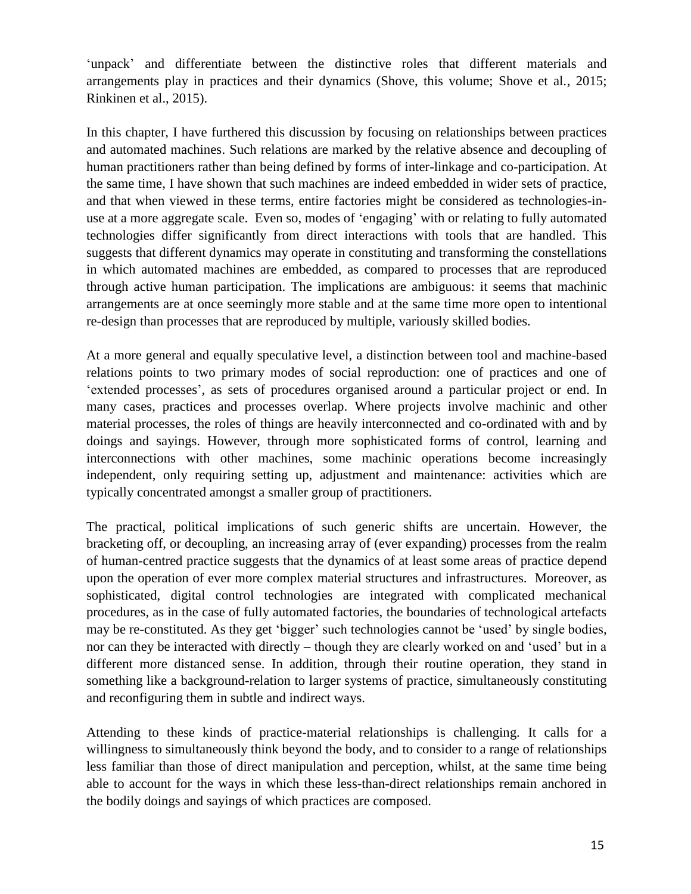'unpack' and differentiate between the distinctive roles that different materials and arrangements play in practices and their dynamics (Shove, this volume; Shove et al., 2015; Rinkinen et al., 2015).

In this chapter, I have furthered this discussion by focusing on relationships between practices and automated machines. Such relations are marked by the relative absence and decoupling of human practitioners rather than being defined by forms of inter-linkage and co-participation. At the same time, I have shown that such machines are indeed embedded in wider sets of practice, and that when viewed in these terms, entire factories might be considered as technologies-inuse at a more aggregate scale. Even so, modes of 'engaging' with or relating to fully automated technologies differ significantly from direct interactions with tools that are handled. This suggests that different dynamics may operate in constituting and transforming the constellations in which automated machines are embedded, as compared to processes that are reproduced through active human participation. The implications are ambiguous: it seems that machinic arrangements are at once seemingly more stable and at the same time more open to intentional re-design than processes that are reproduced by multiple, variously skilled bodies.

At a more general and equally speculative level, a distinction between tool and machine-based relations points to two primary modes of social reproduction: one of practices and one of 'extended processes', as sets of procedures organised around a particular project or end. In many cases, practices and processes overlap. Where projects involve machinic and other material processes, the roles of things are heavily interconnected and co-ordinated with and by doings and sayings. However, through more sophisticated forms of control, learning and interconnections with other machines, some machinic operations become increasingly independent, only requiring setting up, adjustment and maintenance: activities which are typically concentrated amongst a smaller group of practitioners.

The practical, political implications of such generic shifts are uncertain. However, the bracketing off, or decoupling, an increasing array of (ever expanding) processes from the realm of human-centred practice suggests that the dynamics of at least some areas of practice depend upon the operation of ever more complex material structures and infrastructures. Moreover, as sophisticated, digital control technologies are integrated with complicated mechanical procedures, as in the case of fully automated factories, the boundaries of technological artefacts may be re-constituted. As they get 'bigger' such technologies cannot be 'used' by single bodies, nor can they be interacted with directly – though they are clearly worked on and 'used' but in a different more distanced sense. In addition, through their routine operation, they stand in something like a background-relation to larger systems of practice, simultaneously constituting and reconfiguring them in subtle and indirect ways.

Attending to these kinds of practice-material relationships is challenging. It calls for a willingness to simultaneously think beyond the body, and to consider to a range of relationships less familiar than those of direct manipulation and perception, whilst, at the same time being able to account for the ways in which these less-than-direct relationships remain anchored in the bodily doings and sayings of which practices are composed.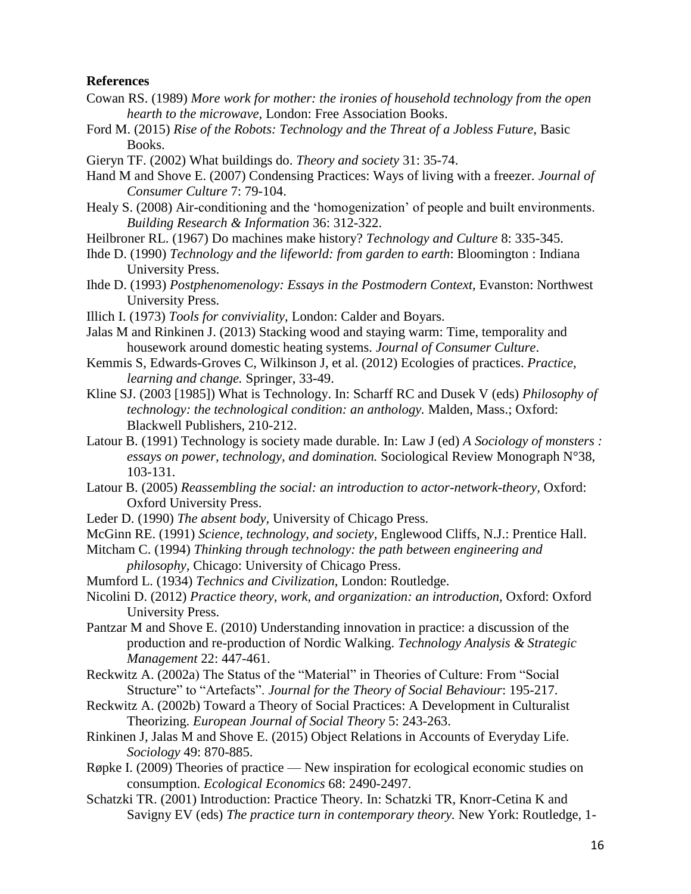#### **References**

- Cowan RS. (1989) *More work for mother: the ironies of household technology from the open hearth to the microwave,* London: Free Association Books.
- Ford M. (2015) *Rise of the Robots: Technology and the Threat of a Jobless Future, Basic* Books.
- Gieryn TF. (2002) What buildings do. *Theory and society* 31: 35-74.
- Hand M and Shove E. (2007) Condensing Practices: Ways of living with a freezer. *Journal of Consumer Culture* 7: 79-104.
- Healy S. (2008) Air-conditioning and the 'homogenization' of people and built environments. *Building Research & Information* 36: 312-322.
- Heilbroner RL. (1967) Do machines make history? *Technology and Culture* 8: 335-345.
- Ihde D. (1990) *Technology and the lifeworld: from garden to earth*: Bloomington : Indiana University Press.
- Ihde D. (1993) *Postphenomenology: Essays in the Postmodern Context*, Evanston: Northwest University Press.
- Illich I. (1973) *Tools for conviviality,* London: Calder and Boyars.
- Jalas M and Rinkinen J. (2013) Stacking wood and staying warm: Time, temporality and housework around domestic heating systems. *Journal of Consumer Culture*.
- Kemmis S, Edwards-Groves C, Wilkinson J, et al. (2012) Ecologies of practices. *Practice, learning and change.* Springer, 33-49.
- Kline SJ. (2003 [1985]) What is Technology. In: Scharff RC and Dusek V (eds) *Philosophy of technology: the technological condition: an anthology.* Malden, Mass.; Oxford: Blackwell Publishers, 210-212.
- Latour B. (1991) Technology is society made durable. In: Law J (ed) *A Sociology of monsters : essays on power, technology, and domination.* Sociological Review Monograph N°38, 103-131.
- Latour B. (2005) *Reassembling the social: an introduction to actor-network-theory*, Oxford: Oxford University Press.
- Leder D. (1990) *The absent body,* University of Chicago Press.
- McGinn RE. (1991) *Science, technology, and society,* Englewood Cliffs, N.J.: Prentice Hall.
- Mitcham C. (1994) *Thinking through technology: the path between engineering and philosophy,* Chicago: University of Chicago Press.
- Mumford L. (1934) *Technics and Civilization*, London: Routledge.
- Nicolini D. (2012) *Practice theory, work, and organization: an introduction, Oxford: Oxford* University Press.
- Pantzar M and Shove E. (2010) Understanding innovation in practice: a discussion of the production and re-production of Nordic Walking. *Technology Analysis & Strategic Management* 22: 447-461.
- Reckwitz A. (2002a) The Status of the "Material" in Theories of Culture: From "Social Structure" to "Artefacts". *Journal for the Theory of Social Behaviour*: 195-217.
- Reckwitz A. (2002b) Toward a Theory of Social Practices: A Development in Culturalist Theorizing. *European Journal of Social Theory* 5: 243-263.
- Rinkinen J, Jalas M and Shove E. (2015) Object Relations in Accounts of Everyday Life. *Sociology* 49: 870-885.
- Røpke I. (2009) Theories of practice New inspiration for ecological economic studies on consumption. *Ecological Economics* 68: 2490-2497.
- Schatzki TR. (2001) Introduction: Practice Theory. In: Schatzki TR, Knorr-Cetina K and Savigny EV (eds) *The practice turn in contemporary theory.* New York: Routledge, 1-